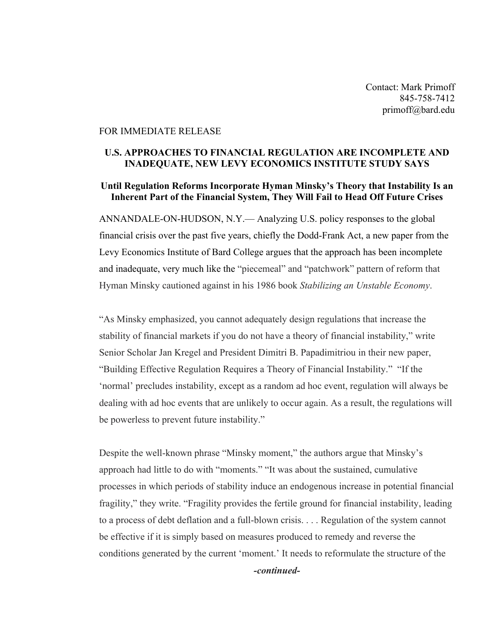Contact: Mark Primoff 845-758-7412 primoff@bard.edu

### FOR IMMEDIATE RELEASE

# **U.S. APPROACHES TO FINANCIAL REGULATION ARE INCOMPLETE AND INADEQUATE, NEW LEVY ECONOMICS INSTITUTE STUDY SAYS**

## **Until Regulation Reforms Incorporate Hyman Minsky's Theory that Instability Is an Inherent Part of the Financial System, They Will Fail to Head Off Future Crises**

ANNANDALE-ON-HUDSON, N.Y.— Analyzing U.S. policy responses to the global financial crisis over the past five years, chiefly the Dodd-Frank Act, a new paper from the Levy Economics Institute of Bard College argues that the approach has been incomplete and inadequate, very much like the "piecemeal" and "patchwork" pattern of reform that Hyman Minsky cautioned against in his 1986 book *Stabilizing an Unstable Economy*.

"As Minsky emphasized, you cannot adequately design regulations that increase the stability of financial markets if you do not have a theory of financial instability," write Senior Scholar Jan Kregel and President Dimitri B. Papadimitriou in their new paper, "Building Effective Regulation Requires a Theory of Financial Instability." "If the 'normal' precludes instability, except as a random ad hoc event, regulation will always be dealing with ad hoc events that are unlikely to occur again. As a result, the regulations will be powerless to prevent future instability."

Despite the well-known phrase "Minsky moment," the authors argue that Minsky's approach had little to do with "moments." "It was about the sustained, cumulative processes in which periods of stability induce an endogenous increase in potential financial fragility," they write. "Fragility provides the fertile ground for financial instability, leading to a process of debt deflation and a full-blown crisis. . . . Regulation of the system cannot be effective if it is simply based on measures produced to remedy and reverse the conditions generated by the current 'moment.' It needs to reformulate the structure of the *-continued-*